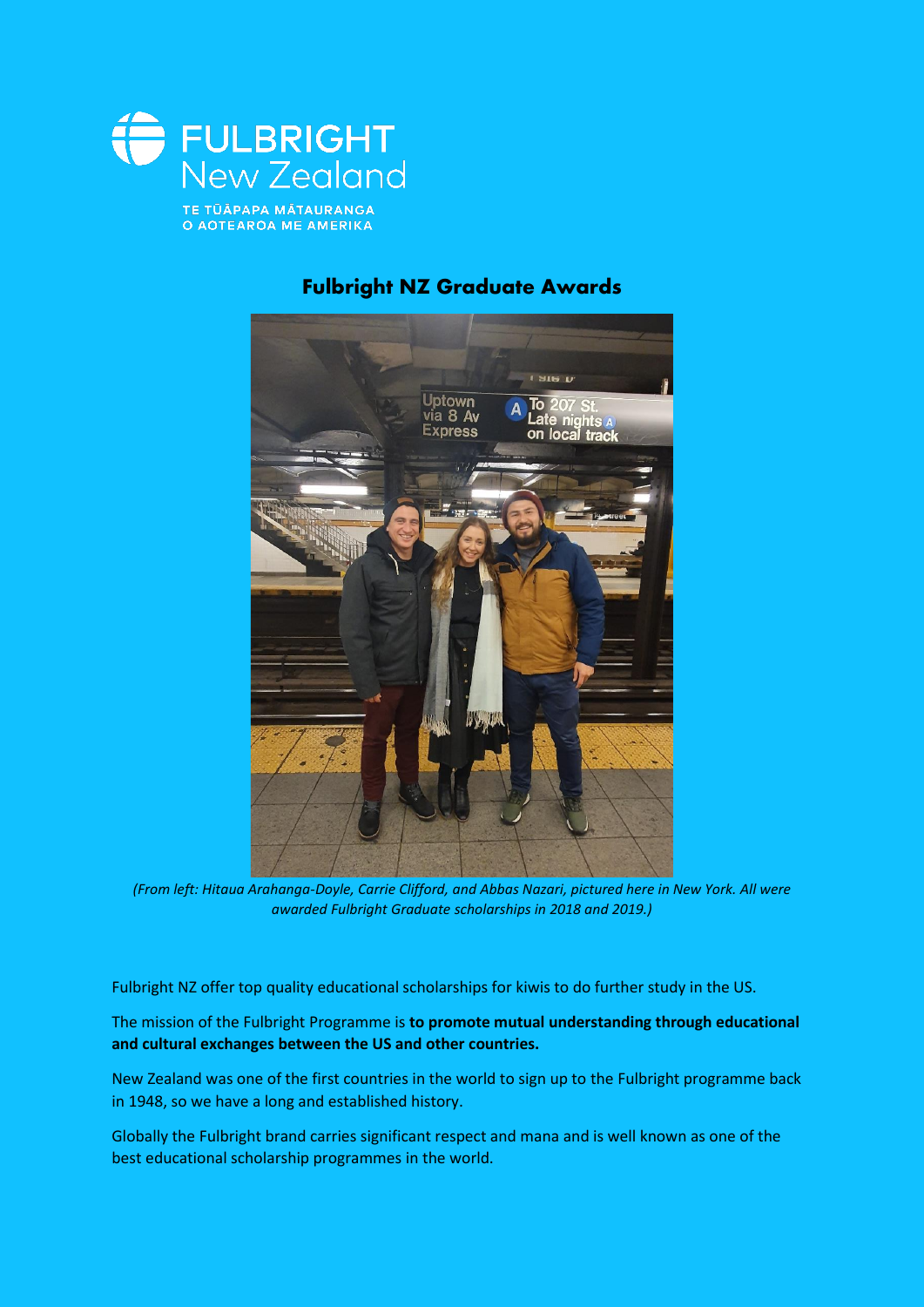

## **Fulbright NZ Graduate Awards**



*(From left: Hitaua Arahanga-Doyle, Carrie Clifford, and Abbas Nazari, pictured here in New York. All were awarded Fulbright Graduate scholarships in 2018 and 2019.)*

Fulbright NZ offer top quality educational scholarships for kiwis to do further study in the US.

The mission of the Fulbright Programme is **to promote mutual understanding through educational and cultural exchanges between the US and other countries.**

New Zealand was one of the first countries in the world to sign up to the Fulbright programme back in 1948, so we have a long and established history.

Globally the Fulbright brand carries significant respect and mana and is well known as one of the best educational scholarship programmes in the world.